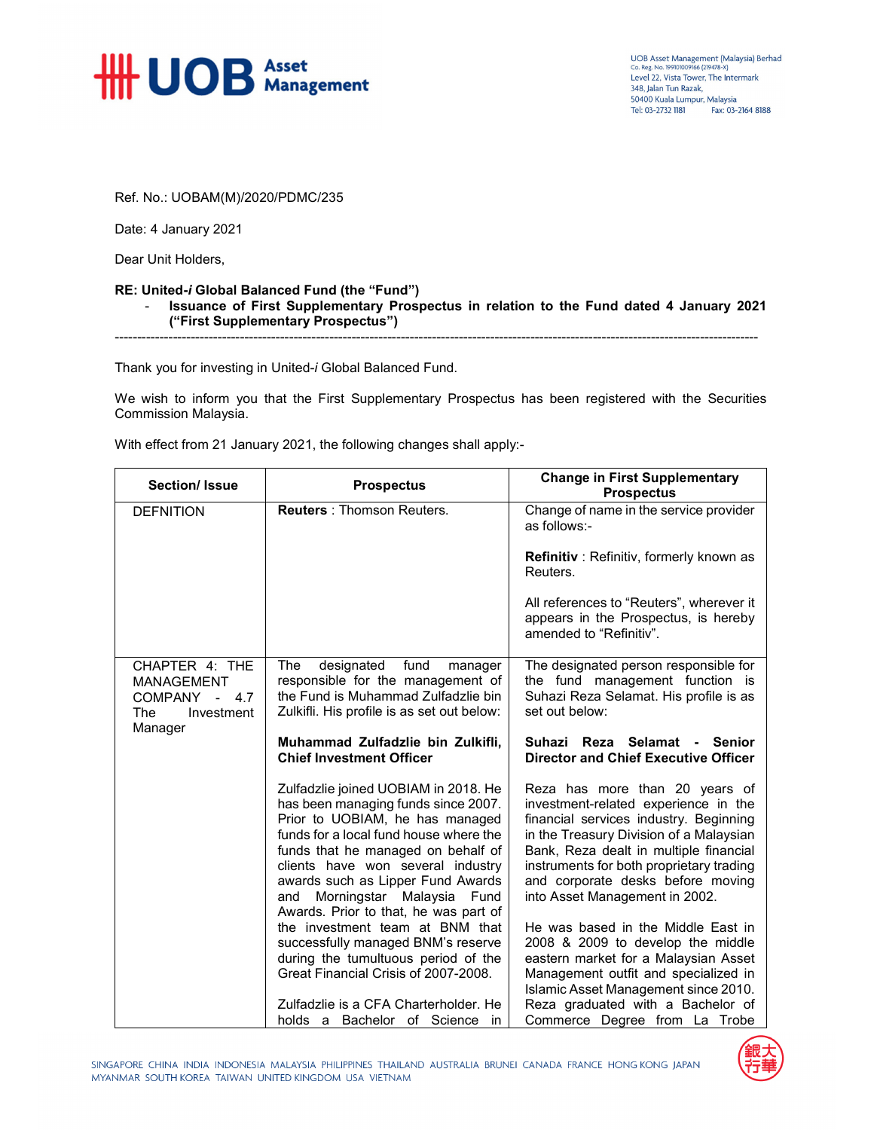

Ref. No.: UOBAM(M)/2020/PDMC/235

Date: 4 January 2021

Dear Unit Holders,

## **RE: United-***i* **Global Balanced Fund (the "Fund")**

- **Issuance of First Supplementary Prospectus in relation to the Fund dated 4 January 2021 ("First Supplementary Prospectus")** 

------------------------------------------------------------------------------------------------------------------------------------------------

Thank you for investing in United-*i* Global Balanced Fund.

We wish to inform you that the First Supplementary Prospectus has been registered with the Securities Commission Malaysia.

With effect from 21 January 2021, the following changes shall apply:-

| <b>Section/Issue</b>                                                         | <b>Prospectus</b>                                                                                                                                                                                                                                                                                                                                                                                                                                                                                             | <b>Change in First Supplementary</b><br><b>Prospectus</b>                                                                                                                                                                                                                                                                                                                                                                                                                                                                   |
|------------------------------------------------------------------------------|---------------------------------------------------------------------------------------------------------------------------------------------------------------------------------------------------------------------------------------------------------------------------------------------------------------------------------------------------------------------------------------------------------------------------------------------------------------------------------------------------------------|-----------------------------------------------------------------------------------------------------------------------------------------------------------------------------------------------------------------------------------------------------------------------------------------------------------------------------------------------------------------------------------------------------------------------------------------------------------------------------------------------------------------------------|
| <b>DEFNITION</b>                                                             | <b>Reuters: Thomson Reuters.</b>                                                                                                                                                                                                                                                                                                                                                                                                                                                                              | Change of name in the service provider<br>as follows:-                                                                                                                                                                                                                                                                                                                                                                                                                                                                      |
|                                                                              |                                                                                                                                                                                                                                                                                                                                                                                                                                                                                                               | <b>Refinitiv</b> : Refinitiv, formerly known as<br>Reuters.                                                                                                                                                                                                                                                                                                                                                                                                                                                                 |
|                                                                              |                                                                                                                                                                                                                                                                                                                                                                                                                                                                                                               | All references to "Reuters", wherever it<br>appears in the Prospectus, is hereby<br>amended to "Refinitiv".                                                                                                                                                                                                                                                                                                                                                                                                                 |
| CHAPTER 4: THE<br><b>MANAGEMENT</b><br>COMPANY -<br>4.7<br>The<br>Investment | designated<br>fund<br>The<br>manager<br>responsible for the management of<br>the Fund is Muhammad Zulfadzlie bin<br>Zulkifli. His profile is as set out below:                                                                                                                                                                                                                                                                                                                                                | The designated person responsible for<br>the fund management function is<br>Suhazi Reza Selamat. His profile is as<br>set out below:                                                                                                                                                                                                                                                                                                                                                                                        |
| Manager                                                                      | Muhammad Zulfadzlie bin Zulkifli,<br><b>Chief Investment Officer</b>                                                                                                                                                                                                                                                                                                                                                                                                                                          | Reza Selamat - Senior<br><b>Suhazi</b><br><b>Director and Chief Executive Officer</b>                                                                                                                                                                                                                                                                                                                                                                                                                                       |
|                                                                              | Zulfadzlie joined UOBIAM in 2018. He<br>has been managing funds since 2007.<br>Prior to UOBIAM, he has managed<br>funds for a local fund house where the<br>funds that he managed on behalf of<br>clients have won several industry<br>awards such as Lipper Fund Awards<br>Morningstar Malaysia Fund<br>and<br>Awards. Prior to that, he was part of<br>the investment team at BNM that<br>successfully managed BNM's reserve<br>during the tumultuous period of the<br>Great Financial Crisis of 2007-2008. | Reza has more than 20 years of<br>investment-related experience in the<br>financial services industry. Beginning<br>in the Treasury Division of a Malaysian<br>Bank, Reza dealt in multiple financial<br>instruments for both proprietary trading<br>and corporate desks before moving<br>into Asset Management in 2002.<br>He was based in the Middle East in<br>2008 & 2009 to develop the middle<br>eastern market for a Malaysian Asset<br>Management outfit and specialized in<br>Islamic Asset Management since 2010. |
|                                                                              | Zulfadzlie is a CFA Charterholder. He<br>holds a Bachelor of Science<br>in.                                                                                                                                                                                                                                                                                                                                                                                                                                   | Reza graduated with a Bachelor of<br>Commerce Degree from La Trobe                                                                                                                                                                                                                                                                                                                                                                                                                                                          |